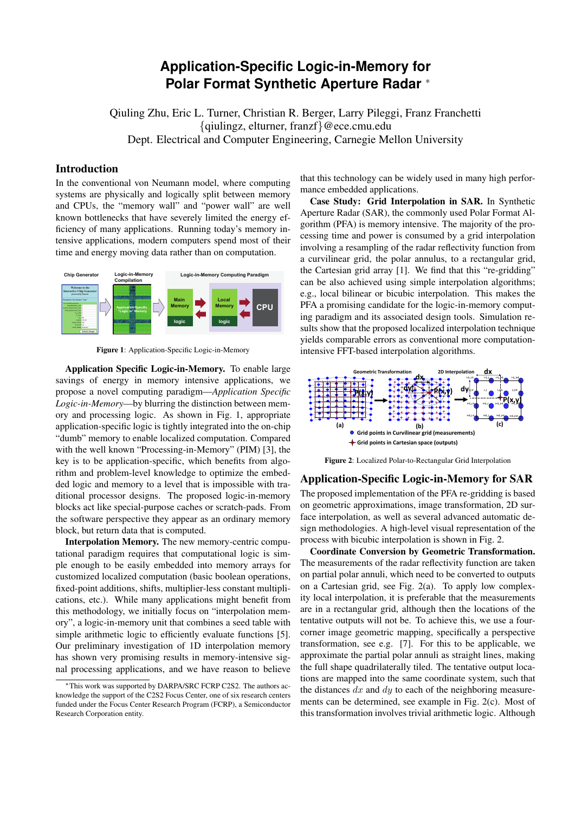# **Application-Specific Logic-in-Memory for Polar Format Synthetic Aperture Radar** *<sup>∗</sup>*

Qiuling Zhu, Eric L. Turner, Christian R. Berger, Larry Pileggi, Franz Franchetti *{*qiulingz, elturner, franzf*}*@ece.cmu.edu Dept. Electrical and Computer Engineering, Carnegie Mellon University

## Introduction

In the conventional von Neumann model, where computing systems are physically and logically split between memory and CPUs, the "memory wall" and "power wall" are well known bottlenecks that have severely limited the energy efficiency of many applications. Running today's memory intensive applications, modern computers spend most of their time and energy moving data rather than on computation.



Figure 1: Application-Specific Logic-in-Memory

Application Specific Logic-in-Memory. To enable large savings of energy in memory intensive applications, we propose a novel computing paradigm—*Application Specific Logic-in-Memory*—by blurring the distinction between memory and processing logic. As shown in Fig. 1, appropriate application-specific logic is tightly integrated into the on-chip "dumb" memory to enable localized computation. Compared with the well known "Processing-in-Memory" (PIM) [3], the key is to be application-specific, which benefits from algorithm and problem-level knowledge to optimize the embedded logic and memory to a level that is impossible with traditional processor designs. The proposed logic-in-memory blocks act like special-purpose caches or scratch-pads. From the software perspective they appear as an ordinary memory block, but return data that is computed.

Interpolation Memory. The new memory-centric computational paradigm requires that computational logic is simple enough to be easily embedded into memory arrays for customized localized computation (basic boolean operations, fixed-point additions, shifts, multiplier-less constant multiplications, etc.). While many applications might benefit from this methodology, we initially focus on "interpolation memory", a logic-in-memory unit that combines a seed table with simple arithmetic logic to efficiently evaluate functions [5]. Our preliminary investigation of 1D interpolation memory has shown very promising results in memory-intensive signal processing applications, and we have reason to believe that this technology can be widely used in many high performance embedded applications.

Case Study: Grid Interpolation in SAR. In Synthetic Aperture Radar (SAR), the commonly used Polar Format Algorithm (PFA) is memory intensive. The majority of the processing time and power is consumed by a grid interpolation involving a resampling of the radar reflectivity function from a curvilinear grid, the polar annulus, to a rectangular grid, the Cartesian grid array [1]. We find that this "re-gridding" can be also achieved using simple interpolation algorithms; e.g., local bilinear or bicubic interpolation. This makes the PFA a promising candidate for the logic-in-memory computing paradigm and its associated design tools. Simulation results show that the proposed localized interpolation technique yields comparable errors as conventional more computationintensive FFT-based interpolation algorithms.



Figure 2: Localized Polar-to-Rectangular Grid Interpolation

### Application-Specific Logic-in-Memory for SAR

The proposed implementation of the PFA re-gridding is based on geometric approximations, image transformation, 2D surface interpolation, as well as several advanced automatic design methodologies. A high-level visual representation of the process with bicubic interpolation is shown in Fig. 2.

Coordinate Conversion by Geometric Transformation. The measurements of the radar reflectivity function are taken on partial polar annuli, which need to be converted to outputs on a Cartesian grid, see Fig. 2(a). To apply low complexity local interpolation, it is preferable that the measurements are in a rectangular grid, although then the locations of the tentative outputs will not be. To achieve this, we use a fourcorner image geometric mapping, specifically a perspective transformation, see e.g. [7]. For this to be applicable, we approximate the partial polar annuli as straight lines, making the full shape quadrilaterally tiled. The tentative output locations are mapped into the same coordinate system, such that the distances *dx* and *dy* to each of the neighboring measurements can be determined, see example in Fig. 2(c). Most of this transformation involves trivial arithmetic logic. Although

*<sup>∗</sup>*This work was supported by DARPA/SRC FCRP C2S2. The authors acknowledge the support of the C2S2 Focus Center, one of six research centers funded under the Focus Center Research Program (FCRP), a Semiconductor Research Corporation entity.